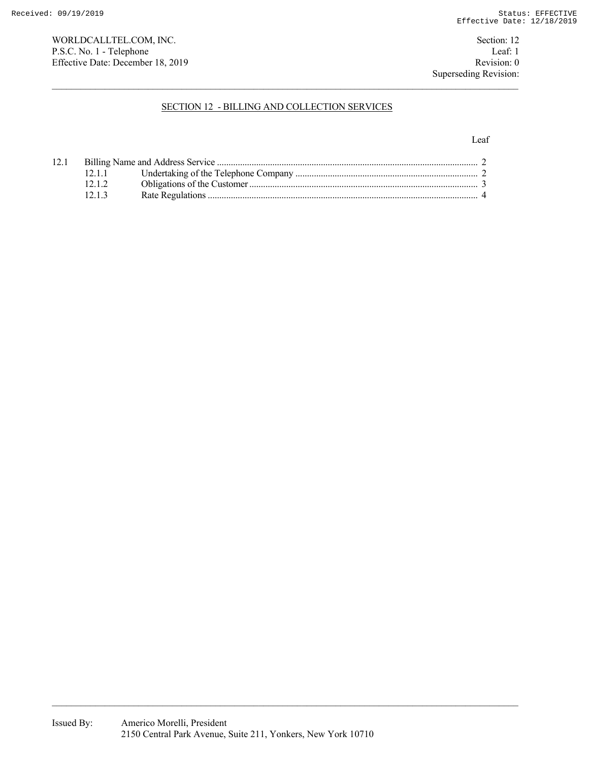WORLDCALLTEL.COM, INC. Section: 12 P.S.C. No. 1 - Telephone Leaf: 1<br>
Effective Date: December 18, 2019 Revision: 0 Effective Date: December 18, 2019

# SECTION 12 - BILLING AND COLLECTION SERVICES

#### Leaf

| 12.1 |       |  |  |
|------|-------|--|--|
|      | 12.11 |  |  |
|      | 12.12 |  |  |
|      | 12.13 |  |  |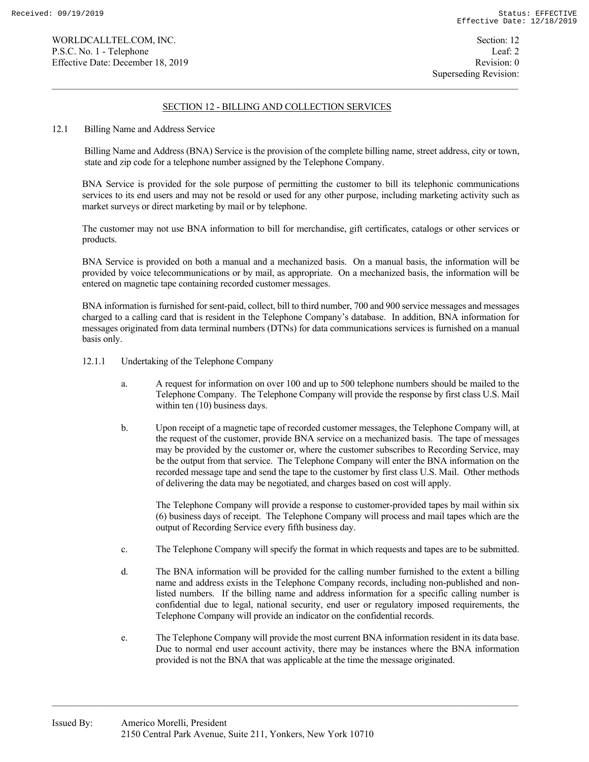# SECTION 12 - BILLING AND COLLECTION SERVICES

12.1 Billing Name and Address Service

 Billing Name and Address (BNA) Service is the provision of the complete billing name, street address, city or town, state and zip code for a telephone number assigned by the Telephone Company.

 BNA Service is provided for the sole purpose of permitting the customer to bill its telephonic communications services to its end users and may not be resold or used for any other purpose, including marketing activity such as market surveys or direct marketing by mail or by telephone.

 The customer may not use BNA information to bill for merchandise, gift certificates, catalogs or other services or products.

 BNA Service is provided on both a manual and a mechanized basis. On a manual basis, the information will be provided by voice telecommunications or by mail, as appropriate. On a mechanized basis, the information will be entered on magnetic tape containing recorded customer messages.

 BNA information is furnished for sent-paid, collect, bill to third number, 700 and 900 service messages and messages charged to a calling card that is resident in the Telephone Company's database. In addition, BNA information for messages originated from data terminal numbers (DTNs) for data communications services is furnished on a manual basis only.

- 12.1.1 Undertaking of the Telephone Company
	- a. A request for information on over 100 and up to 500 telephone numbers should be mailed to the Telephone Company. The Telephone Company will provide the response by first class U.S. Mail within ten (10) business days.
	- b. Upon receipt of a magnetic tape of recorded customer messages, the Telephone Company will, at the request of the customer, provide BNA service on a mechanized basis. The tape of messages may be provided by the customer or, where the customer subscribes to Recording Service, may be the output from that service. The Telephone Company will enter the BNA information on the recorded message tape and send the tape to the customer by first class U.S. Mail. Other methods of delivering the data may be negotiated, and charges based on cost will apply.

 The Telephone Company will provide a response to customer-provided tapes by mail within six (6) business days of receipt. The Telephone Company will process and mail tapes which are the output of Recording Service every fifth business day.

- c. The Telephone Company will specify the format in which requests and tapes are to be submitted.
- d. The BNA information will be provided for the calling number furnished to the extent a billing name and address exists in the Telephone Company records, including non-published and nonlisted numbers. If the billing name and address information for a specific calling number is confidential due to legal, national security, end user or regulatory imposed requirements, the Telephone Company will provide an indicator on the confidential records.
- e. The Telephone Company will provide the most current BNA information resident in its data base. Due to normal end user account activity, there may be instances where the BNA information provided is not the BNA that was applicable at the time the message originated.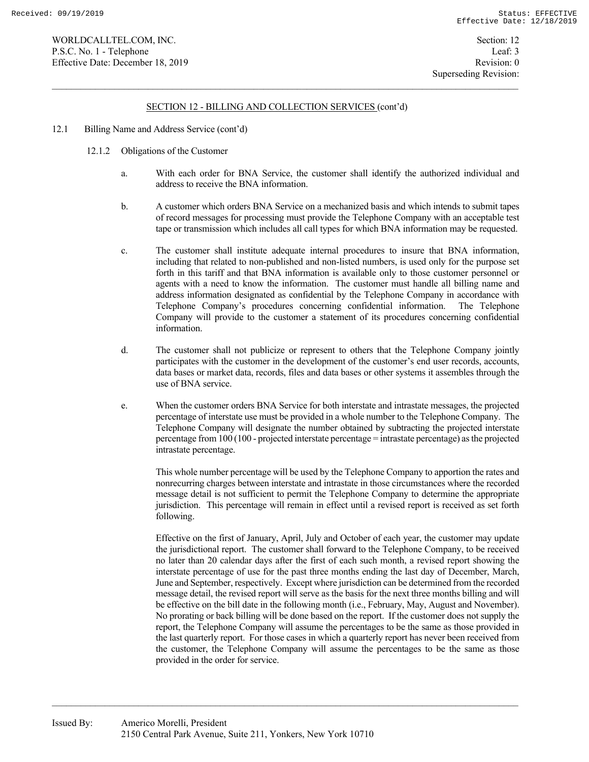### SECTION 12 - BILLING AND COLLECTION SERVICES (cont'd)

- 12.1 Billing Name and Address Service (cont'd)
	- 12.1.2 Obligations of the Customer
		- a. With each order for BNA Service, the customer shall identify the authorized individual and address to receive the BNA information.
		- b. A customer which orders BNA Service on a mechanized basis and which intends to submit tapes of record messages for processing must provide the Telephone Company with an acceptable test tape or transmission which includes all call types for which BNA information may be requested.
		- c. The customer shall institute adequate internal procedures to insure that BNA information, including that related to non-published and non-listed numbers, is used only for the purpose set forth in this tariff and that BNA information is available only to those customer personnel or agents with a need to know the information. The customer must handle all billing name and address information designated as confidential by the Telephone Company in accordance with Telephone Company's procedures concerning confidential information. The Telephone Company will provide to the customer a statement of its procedures concerning confidential information.
		- d. The customer shall not publicize or represent to others that the Telephone Company jointly participates with the customer in the development of the customer's end user records, accounts, data bases or market data, records, files and data bases or other systems it assembles through the use of BNA service.
		- e. When the customer orders BNA Service for both interstate and intrastate messages, the projected percentage of interstate use must be provided in a whole number to the Telephone Company. The Telephone Company will designate the number obtained by subtracting the projected interstate percentage from 100 (100 - projected interstate percentage = intrastate percentage) as the projected intrastate percentage.

 This whole number percentage will be used by the Telephone Company to apportion the rates and nonrecurring charges between interstate and intrastate in those circumstances where the recorded message detail is not sufficient to permit the Telephone Company to determine the appropriate jurisdiction. This percentage will remain in effect until a revised report is received as set forth following.

 Effective on the first of January, April, July and October of each year, the customer may update the jurisdictional report. The customer shall forward to the Telephone Company, to be received no later than 20 calendar days after the first of each such month, a revised report showing the interstate percentage of use for the past three months ending the last day of December, March, June and September, respectively. Except where jurisdiction can be determined from the recorded message detail, the revised report will serve as the basis for the next three months billing and will be effective on the bill date in the following month (i.e., February, May, August and November). No prorating or back billing will be done based on the report. If the customer does not supply the report, the Telephone Company will assume the percentages to be the same as those provided in the last quarterly report. For those cases in which a quarterly report has never been received from the customer, the Telephone Company will assume the percentages to be the same as those provided in the order for service.